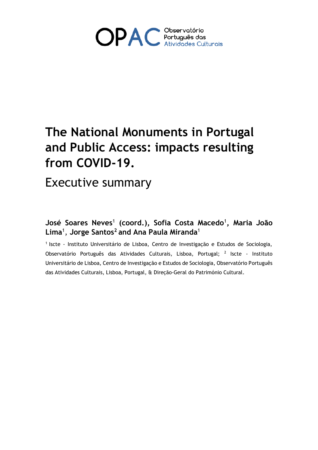

# **The National Monuments in Portugal and Public Access: impacts resulting from COVID-19.**

# Executive summary

**José Soares Neves**<sup>1</sup> **(coord.), Sofia Costa Macedo**<sup>1</sup> **, Maria João Lima**<sup>1</sup> , **Jorge Santos<sup>2</sup> and Ana Paula Miranda**<sup>1</sup>

<sup>1</sup> Iscte - Instituto Universitário de Lisboa, Centro de Investigação e Estudos de Sociologia, Observatório Português das Atividades Culturais, Lisboa, Portugal; <sup>2</sup> Iscte - Instituto Universitário de Lisboa, Centro de Investigação e Estudos de Sociologia, Observatório Português das Atividades Culturais, Lisboa, Portugal, & Direção-Geral do Património Cultural.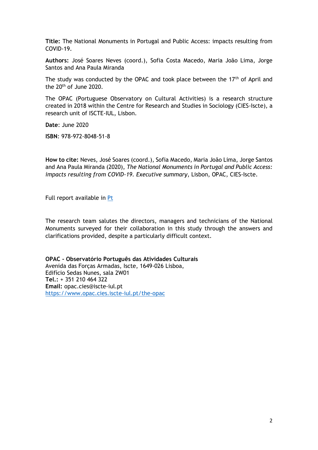**Title:** The National Monuments in Portugal and Public Access: impacts resulting from COVID-19.

**Authors:** José Soares Neves (coord.), Sofia Costa Macedo, Maria João Lima, Jorge Santos and Ana Paula Miranda

The study was conducted by the OPAC and took place between the 17<sup>th</sup> of April and the 20th of June 2020.

The OPAC (Portuguese Observatory on Cultural Activities) is a research structure created in 2018 within the Centre for Research and Studies in Sociology (CIES-Iscte), a research unit of ISCTE-IUL, Lisbon.

**Date**: June 2020

**ISBN**: 978-972-8048-51-8

**How to cite:** Neves, José Soares (coord.), Sofia Macedo, Maria João Lima, Jorge Santos and Ana Paula Miranda (2020), *The National Monuments in Portugal and Public Access: impacts resulting from COVID-19. Executive summary*, Lisbon, OPAC, CIES-Iscte.

Full report available in [Pt](https://704a06ef-c151-4ad7-b67c-50cf9846cda5.filesusr.com/ugd/ee1de0_0ad36bc4c6ab4538874874a7613b68b5.pdf)

The research team salutes the directors, managers and technicians of the National Monuments surveyed for their collaboration in this study through the answers and clarifications provided, despite a particularly difficult context.

**OPAC - Observatório Português das Atividades Culturais** Avenida das Forças Armadas, Iscte, 1649-026 Lisboa, Edifício Sedas Nunes, sala 2W01 **Tel.:** + 351 210 464 322 **Email:** opac.cies@iscte-iul.pt <https://www.opac.cies.iscte-iul.pt/the-opac>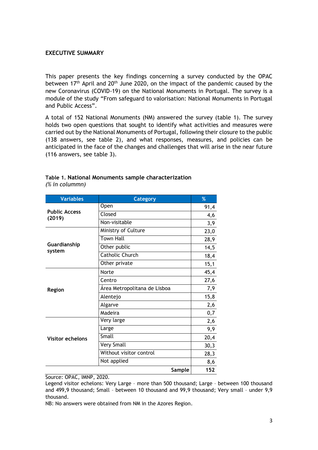### **EXECUTIVE SUMMARY**

This paper presents the key findings concerning a survey conducted by the OPAC between  $17<sup>th</sup>$  April and  $20<sup>th</sup>$  June 2020, on the impact of the pandemic caused by the new Coronavirus (COVID-19) on the National Monuments in Portugal. The survey is a module of the study "From safeguard to valorisation: National Monuments in Portugal and Public Access".

A total of 152 National Monuments (NM) answered the survey (table 1). The survey holds two open questions that sought to identify what activities and measures were carried out by the National Monuments of Portugal, following their closure to the public (138 answers, see table 2), and what responses, measures, and policies can be anticipated in the face of the changes and challenges that will arise in the near future (116 answers, see table 3).

| <b>Variables</b>               | <b>Category</b>              | %    |
|--------------------------------|------------------------------|------|
| <b>Public Access</b><br>(2019) | Open                         | 91,4 |
|                                | Closed                       | 4,6  |
|                                | Non-visitable                | 3,9  |
| Guardianship<br>system         | Ministry of Culture          | 23,0 |
|                                | <b>Town Hall</b>             | 28,9 |
|                                | Other public                 | 14,5 |
|                                | Catholic Church              | 18,4 |
|                                | Other private                | 15,1 |
| <b>Region</b>                  | Norte                        | 45,4 |
|                                | Centro                       | 27,6 |
|                                | Área Metropolitana de Lisboa | 7,9  |
|                                | Alentejo                     | 15,8 |
|                                | Algarve                      | 2,6  |
|                                | Madeira                      | 0,7  |
| <b>Visitor echelons</b>        | Very large                   | 2,6  |
|                                | Large                        | 9,9  |
|                                | Small                        | 20,4 |
|                                | <b>Very Small</b>            | 30,3 |
|                                | Without visitor control      | 28,3 |
|                                | Not applied                  | 8,6  |
|                                | 152                          |      |

#### **Table 1. National Monuments sample characterization** *(% in colummn)*

Source: OPAC, IMNP, 2020.

NB: No answers were obtained from NM in the Azores Region.

Legend visitor echelons: Very Large – more than 500 thousand; Large – between 100 thousand and 499,9 thousand; Small – between 10 thousand and 99,9 thousand; Very small – under 9,9 thousand.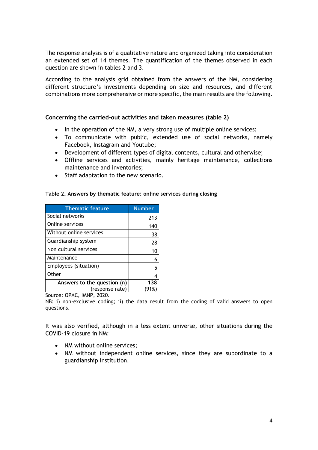The response analysis is of a qualitative nature and organized taking into consideration an extended set of 14 themes. The quantification of the themes observed in each question are shown in tables 2 and 3.

According to the analysis grid obtained from the answers of the NM, considering different structure's investments depending on size and resources, and different combinations more comprehensive or more specific, the main results are the following.

### **Concerning the carried-out activities and taken measures (table 2)**

- In the operation of the NM, a very strong use of multiple online services;
- To communicate with public, extended use of social networks, namely Facebook, Instagram and Youtube;
- Development of different types of digital contents, cultural and otherwise;
- Offline services and activities, mainly heritage maintenance, collections maintenance and inventories;
- Staff adaptation to the new scenario.

#### **Table 2. Answers by thematic feature: online services during closing**

| <b>Thematic feature</b>     | <b>Number</b> |
|-----------------------------|---------------|
| Social networks             | 213           |
| Online services             | 140           |
| Without online services     | 38            |
| Guardianship system         | 28            |
| Non cultural services       | 10            |
| Maintenance                 | 6             |
| Employees (situation)       | 5             |
| Other                       |               |
| Answers to the question (n) | 138           |
| (response rate)             | 91%           |

Source: OPAC, IMNP, 2020.

NB: i) non-exclusive coding; ii) the data result from the coding of valid answers to open questions.

It was also verified, although in a less extent universe, other situations during the COVID-19 closure in NM:

- NM without online services;
- NM without independent online services, since they are subordinate to a guardianship institution.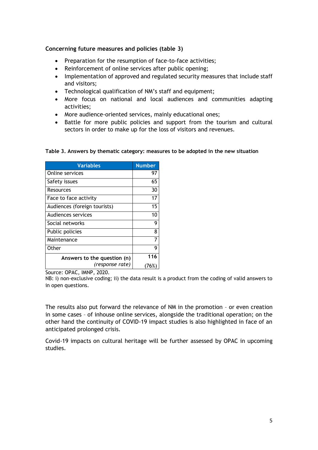## **Concerning future measures and policies (table 3)**

- Preparation for the resumption of face-to-face activities;
- Reinforcement of online services after public opening;
- Implementation of approved and regulated security measures that include staff and visitors;
- Technological qualification of NM's staff and equipment;
- More focus on national and local audiences and communities adapting activities;
- More audience-oriented services, mainly educational ones;
- Battle for more public policies and support from the tourism and cultural sectors in order to make up for the loss of visitors and revenues.

| <b>Variables</b>             | <b>Number</b> |
|------------------------------|---------------|
| Online services              | 97            |
| Safety issues                | 65            |
| Resources                    | 30            |
| Face to face activity        | 17            |
| Audiences (foreign tourists) | 15            |
| Audiences services           | 10            |
| Social networks              | 9             |
| Public policies              | 8             |
| Maintenance                  | 7             |
| Other                        | 9             |
| Answers to the question (n)  | 116           |
| (response rate)              | 76%)          |

#### **Table 3. Answers by thematic category: measures to be adopted in the new situation**

Source: OPAC, IMNP, 2020.

NB: i) non-exclusive coding; ii) the data result is a product from the coding of valid answers to in open questions.

The results also put forward the relevance of NM in the promotion – or even creation in some cases – of inhouse online services, alongside the traditional operation; on the other hand the continuity of COVID-19 impact studies is also highlighted in face of an anticipated prolonged crisis.

Covid-19 impacts on cultural heritage will be further assessed by OPAC in upcoming studies.